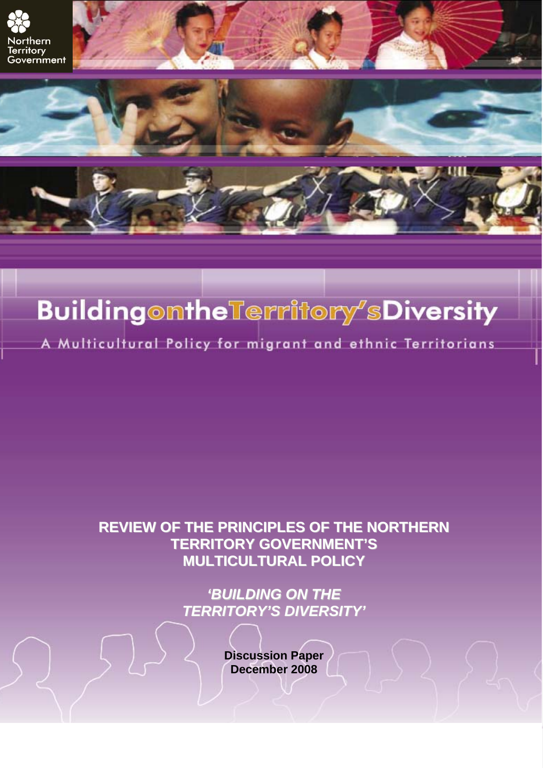

# **Buildingomthe Territory SDiversity**

A Multicultural Policy for migrant and ethnic Territorians

## **REVIEW OF THE PRINCIPLES OF THE NORTHERN TERRITORY GOVERNMENT'S MULTICULTURAL POLICY**

*'BUILDING ON THE TERRITORY'S DIVERSITY'*

> **Discussion Paper December 2008**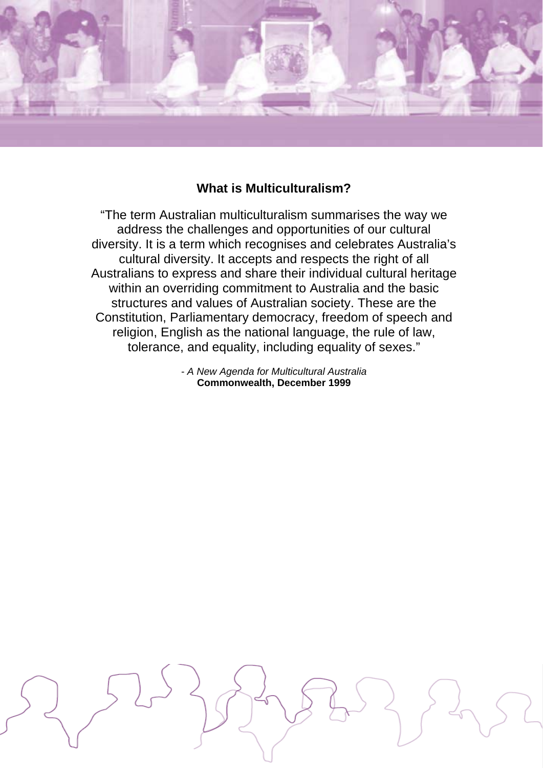

## **What is Multiculturalism?**

"The term Australian multiculturalism summarises the way we address the challenges and opportunities of our cultural diversity. It is a term which recognises and celebrates Australia's cultural diversity. It accepts and respects the right of all Australians to express and share their individual cultural heritage within an overriding commitment to Australia and the basic structures and values of Australian society. These are the Constitution, Parliamentary democracy, freedom of speech and religion, English as the national language, the rule of law, tolerance, and equality, including equality of sexes."

> *- A New Agenda for Multicultural Australia* **Commonwealth, December 1999**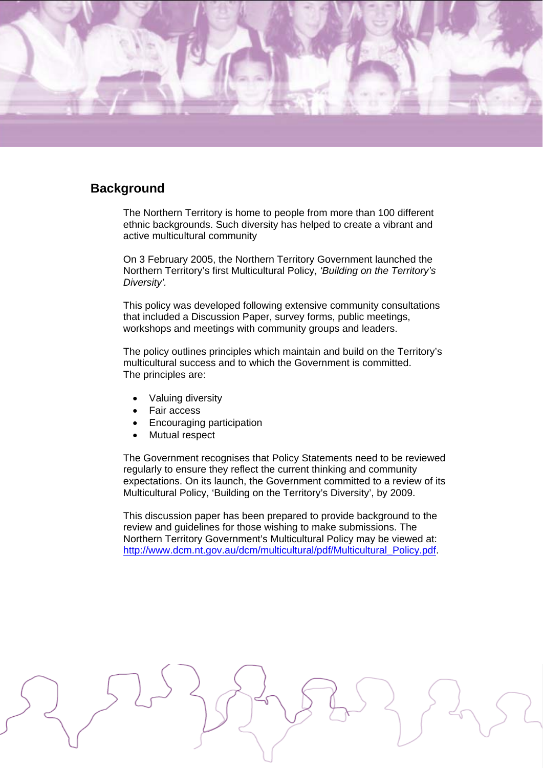

### **Background**

The Northern Territory is home to people from more than 100 different ethnic backgrounds. Such diversity has helped to create a vibrant and active multicultural community

On 3 February 2005, the Northern Territory Government launched the Northern Territory's first Multicultural Policy, *'Building on the Territory's Diversity'.* 

This policy was developed following extensive community consultations that included a Discussion Paper, survey forms, public meetings, workshops and meetings with community groups and leaders.

The policy outlines principles which maintain and build on the Territory's multicultural success and to which the Government is committed. The principles are:

- Valuing diversity
- Fair access
- Encouraging participation
- Mutual respect

The Government recognises that Policy Statements need to be reviewed regularly to ensure they reflect the current thinking and community expectations. On its launch, the Government committed to a review of its Multicultural Policy, 'Building on the Territory's Diversity', by 2009.

This discussion paper has been prepared to provide background to the review and guidelines for those wishing to make submissions. The Northern Territory Government's Multicultural Policy may be viewed at: http://www.dcm.nt.gov.au/dcm/multicultural/pdf/Multicultural\_Policy.pdf.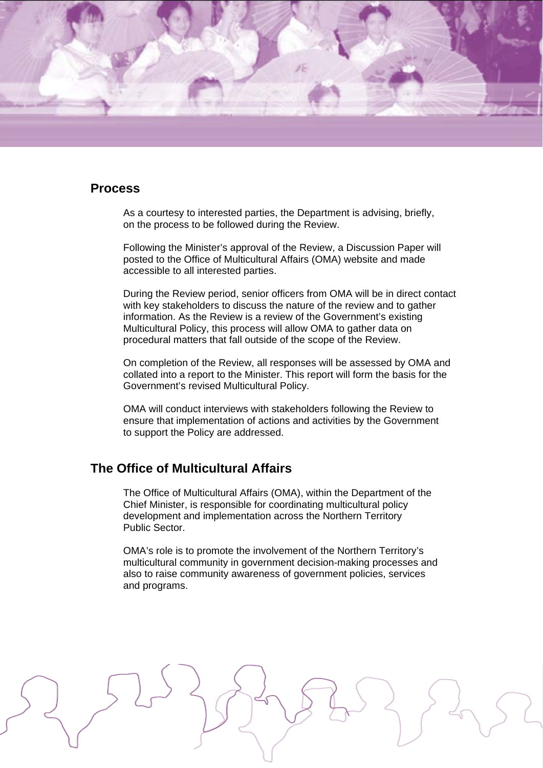

#### **Process**

As a courtesy to interested parties, the Department is advising, briefly, on the process to be followed during the Review.

Following the Minister's approval of the Review, a Discussion Paper will posted to the Office of Multicultural Affairs (OMA) website and made accessible to all interested parties.

During the Review period, senior officers from OMA will be in direct contact with key stakeholders to discuss the nature of the review and to gather information. As the Review is a review of the Government's existing Multicultural Policy, this process will allow OMA to gather data on procedural matters that fall outside of the scope of the Review.

On completion of the Review, all responses will be assessed by OMA and collated into a report to the Minister. This report will form the basis for the Government's revised Multicultural Policy.

OMA will conduct interviews with stakeholders following the Review to ensure that implementation of actions and activities by the Government to support the Policy are addressed.

## **The Office of Multicultural Affairs**

The Office of Multicultural Affairs (OMA), within the Department of the Chief Minister, is responsible for coordinating multicultural policy development and implementation across the Northern Territory Public Sector.

OMA's role is to promote the involvement of the Northern Territory's multicultural community in government decision-making processes and also to raise community awareness of government policies, services and programs.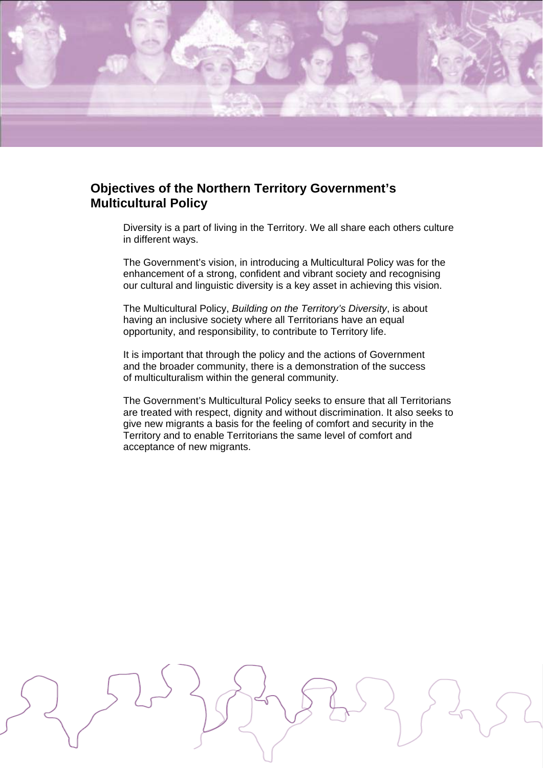

## **Objectives of the Northern Territory Government's Multicultural Policy**

Diversity is a part of living in the Territory. We all share each others culture in different ways.

The Government's vision, in introducing a Multicultural Policy was for the enhancement of a strong, confident and vibrant society and recognising our cultural and linguistic diversity is a key asset in achieving this vision.

The Multicultural Policy, *Building on the Territory's Diversity*, is about having an inclusive society where all Territorians have an equal opportunity, and responsibility, to contribute to Territory life.

It is important that through the policy and the actions of Government and the broader community, there is a demonstration of the success of multiculturalism within the general community.

The Government's Multicultural Policy seeks to ensure that all Territorians are treated with respect, dignity and without discrimination. It also seeks to give new migrants a basis for the feeling of comfort and security in the Territory and to enable Territorians the same level of comfort and acceptance of new migrants.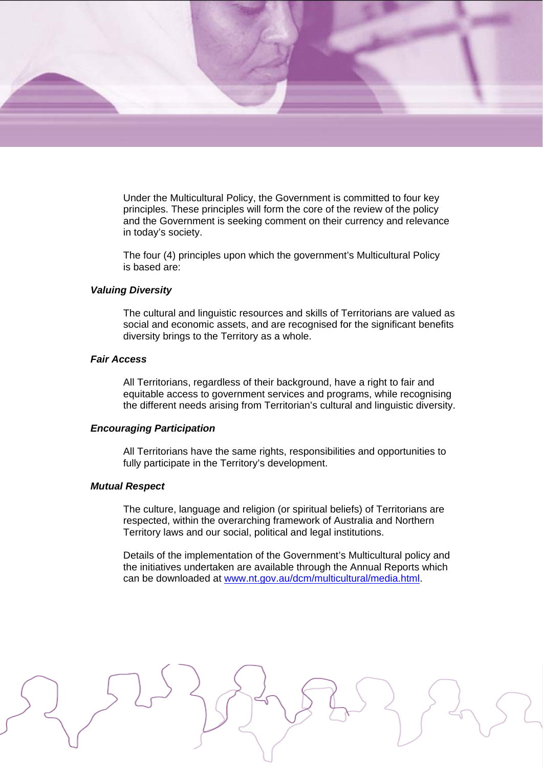

Under the Multicultural Policy, the Government is committed to four key principles. These principles will form the core of the review of the policy and the Government is seeking comment on their currency and relevance in today's society.

The four (4) principles upon which the government's Multicultural Policy is based are:

#### *Valuing Diversity*

The cultural and linguistic resources and skills of Territorians are valued as social and economic assets, and are recognised for the significant benefits diversity brings to the Territory as a whole.

#### *Fair Access*

All Territorians, regardless of their background, have a right to fair and equitable access to government services and programs, while recognising the different needs arising from Territorian's cultural and linguistic diversity.

#### *Encouraging Participation*

All Territorians have the same rights, responsibilities and opportunities to fully participate in the Territory's development.

#### *Mutual Respect*

The culture, language and religion (or spiritual beliefs) of Territorians are respected, within the overarching framework of Australia and Northern Territory laws and our social, political and legal institutions.

Details of the implementation of the Government's Multicultural policy and the initiatives undertaken are available through the Annual Reports which can be downloaded at www.nt.gov.au/dcm/multicultural/media.html.